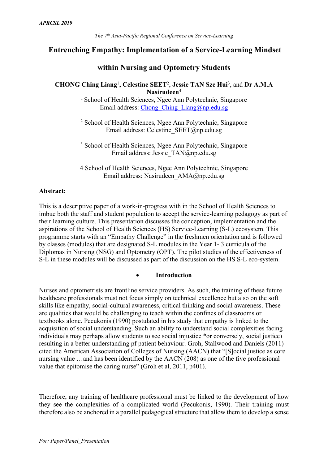# **Entrenching Empathy: Implementation of a Service-Learning Mindset**

## **within Nursing and Optometry Students**

# **CHONG Ching Liang**<sup>1</sup> **, Celestine SEET**<sup>2</sup> , **Jessie TAN Sze Hui**<sup>3</sup> , and **Dr A.M.A Nasirudeen**<sup>4</sup>

<sup>1</sup> School of Health Sciences, Ngee Ann Polytechnic, Singapore Email address: Chong\_Ching\_Liang@np.edu.sg

<sup>2</sup> School of Health Sciences, Ngee Ann Polytechnic, Singapore Email address: Celestine\_SEET@np.edu.sg

<sup>3</sup> School of Health Sciences, Ngee Ann Polytechnic, Singapore Email address: Jessie\_TAN@np.edu.sg

4 School of Health Sciences, Ngee Ann Polytechnic, Singapore Email address: Nasirudeen\_AMA@np.edu.sg

### **Abstract:**

This is a descriptive paper of a work-in-progress with in the School of Health Sciences to imbue both the staff and student population to accept the service-learning pedagogy as part of their learning culture. This presentation discusses the conception, implementation and the aspirations of the School of Health Sciences (HS) Service-Learning (S-L) ecosystem. This programme starts with an "Empathy Challenge" in the freshmen orientation and is followed by classes (modules) that are designated S-L modules in the Year 1- 3 curricula of the Diplomas in Nursing (NSG) and Optometry (OPT). The pilot studies of the effectiveness of S-L in these modules will be discussed as part of the discussion on the HS S-L eco-system.

## • **Introduction**

Nurses and optometrists are frontline service providers. As such, the training of these future healthcare professionals must not focus simply on technical excellence but also on the soft skills like empathy, social-cultural awareness, critical thinking and social awareness. These are qualities that would be challenging to teach within the confines of classrooms or textbooks alone. Pecukonis (1990) postulated in his study that empathy is linked to the acquisition of social understanding. Such an ability to understand social complexities facing individuals may perhaps allow students to see social injustice \*or conversely, social justice) resulting in a better understanding pf patient behaviour. Groh, Stallwood and Daniels (2011) cited the American Association of Colleges of Nursing (AACN) that "[S]ocial justice as core nursing value …and has been identified by the AACN (208) as one of the five professional value that epitomise the caring nurse" (Groh et al, 2011, p401).

Therefore, any training of healthcare professional must be linked to the development of how they see the complexities of a complicated world (Pecukonis, 1990). Their training must therefore also be anchored in a parallel pedagogical structure that allow them to develop a sense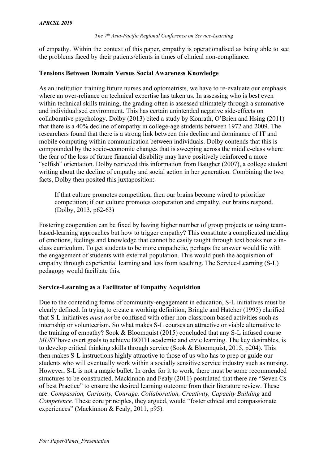of empathy. Within the context of this paper, empathy is operationalised as being able to see the problems faced by their patients/clients in times of clinical non-compliance.

## **Tensions Between Domain Versus Social Awareness Knowledge**

As an institution training future nurses and optometrists, we have to re-evaluate our emphasis where an over-reliance on technical expertise has taken us. In assessing who is best even within technical skills training, the grading often is assessed ultimately through a summative and individualised environment. This has certain unintended negative side-effects on collaborative psychology. Dolby (2013) cited a study by Konrath, O'Brien and Hsing (2011) that there is a 40% decline of empathy in college-age students between 1972 and 2009. The researchers found that there is a strong link between this decline and dominance of IT and mobile computing within communication between individuals. Dolby contends that this is compounded by the socio-economic changes that is sweeping across the middle-class where the fear of the loss of future financial disability may have positively reinforced a more "selfish" orientation. Dolby retrieved this information from Baugher (2007), a college student writing about the decline of empathy and social action in her generation. Combining the two facts, Dolby then posited this juxtaposition:

If that culture promotes competition, then our brains become wired to prioritize competition; if our culture promotes cooperation and empathy, our brains respond. (Dolby, 2013, p62-63)

Fostering cooperation can be fixed by having higher number of group projects or using teambased-learning approaches but how to trigger empathy? This constitute a complicated melding of emotions, feelings and knowledge that cannot be easily taught through text books nor a inclass curriculum. To get students to be more empathetic, perhaps the answer would lie with the engagement of students with external population. This would push the acquisition of empathy through experiential learning and less from teaching. The Service-Learning (S-L) pedagogy would facilitate this.

# **Service-Learning as a Facilitator of Empathy Acquisition**

Due to the contending forms of community-engagement in education, S-L initiatives must be clearly defined. In trying to create a working definition, Bringle and Hatcher (1995) clarified that S-L initiatives *must not* be confused with other non-classroom based activities such as internship or volunteerism. So what makes S-L courses an attractive or viable alternative to the training of empathy? Sook & Bloomquist (2015) concluded that any S-L infused course *MUST* have overt goals to achieve BOTH academic and civic learning. The key desirables, is to develop critical thinking skills through service (Sook & Bloomquist, 2015, p204). This then makes S-L instructions highly attractive to those of us who has to prep or guide our students who will eventually work within a socially sensitive service industry such as nursing. However, S-L is not a magic bullet. In order for it to work, there must be some recommended structures to be constructed. Mackinnon and Fealy (2011) postulated that there are "Seven Cs of best Practice" to ensure the desired learning outcome from their literature review. These are: *Compassion, Curiosity, Courage, Collaboration, Creativity, Capacity Building* and *Competence.* These core principles, they argued, would "foster ethical and compassionate experiences" (Mackinnon & Fealy, 2011, p95).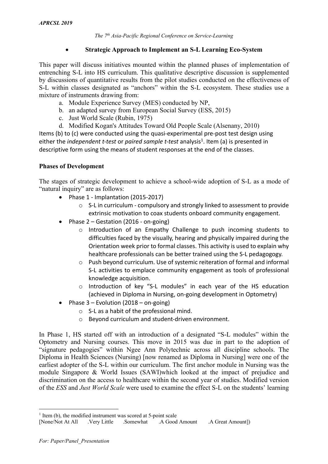# • **Strategic Approach to Implement an S-L Learning Eco-System**

This paper will discuss initiatives mounted within the planned phases of implementation of entrenching S-L into HS curriculum. This qualitative descriptive discussion is supplemented by discussions of quantitative results from the pilot studies conducted on the effectiveness of S-L within classes designated as "anchors" within the S-L ecosystem. These studies use a mixture of instruments drawing from:

- a. Module Experience Survey (MES) conducted by NP,
- b. an adapted survey from European Social Survey (ESS, 2015)
- c. Just World Scale (Rubin, 1975)
- d. Modified Kogan's Attitudes Toward Old People Scale (Alsenany, 2010)

Items (b) to (c) were conducted using the quasi-experimental pre-post test design using either the *independent t-test* or *paired sample t-test* analysis<sup>1</sup>. Item (a) is presented in descriptive form using the means of student responses at the end of the classes.

# **Phases of Development**

The stages of strategic development to achieve a school-wide adoption of S-L as a mode of "natural inquiry" are as follows:

- Phase 1 Implantation (2015-2017)
	- o S-L in curriculum compulsory and strongly linked to assessment to provide extrinsic motivation to coax students onboard community engagement.
- Phase 2 Gestation (2016 on-going)
	- o Introduction of an Empathy Challenge to push incoming students to difficulties faced by the visually, hearing and physically impaired during the Orientation week prior to formal classes. This activity is used to explain why healthcare professionals can be better trained using the S-L pedagogogy.
	- o Push beyond curriculum. Use of systemic reiteration of formal and informal S-L activities to emplace community engagement as tools of professional knowledge acquisition.
	- o Introduction of key "S-L modules" in each year of the HS education (achieved in Diploma in Nursing, on-going development in Optometry)
- Phase  $3$  Evolution (2018 on-going)
	- o S-L as a habit of the professional mind.
	- o Beyond curriculum and student-driven environment.

In Phase 1, HS started off with an introduction of a designated "S-L modules" within the Optometry and Nursing courses. This move in 2015 was due in part to the adoption of "signature pedagogies" within Ngee Ann Polytechnic across all discipline schools. The Diploma in Health Sciences (Nursing) [now renamed as Diploma in Nursing] were one of the earliest adopter of the S-L within our curriculum. The first anchor module in Nursing was the module Singapore & World Issues (SAWI)which looked at the impact of prejudice and discrimination on the access to healthcare within the second year of studies. Modified version of the *ESS* and *Just World Scale* were used to examine the effect S-L on the students' learning

 $1$  Item (b), the modified instrument was scored at 5-point scale

<sup>[</sup>None/Not At All .Very Little .Somewhat .A Good Amount .A Great Amount])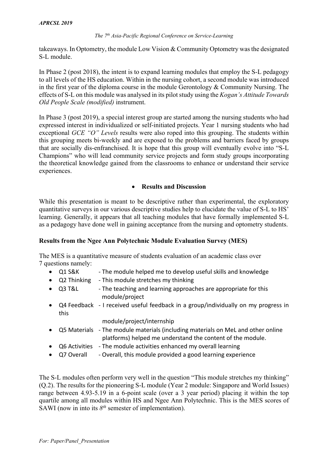takeaways. In Optometry, the module Low Vision & Community Optometry was the designated S-L module.

In Phase 2 (post 2018), the intent is to expand learning modules that employ the S-L pedagogy to all levels of the HS education. Within in the nursing cohort, a second module was introduced in the first year of the diploma course in the module Gerontology & Community Nursing. The effects of S-L on this module was analysed in its pilot study using the *Kogan's Attitude Towards Old People Scale (modified)* instrument.

In Phase 3 (post 2019), a special interest group are started among the nursing students who had expressed interest in individualized or self-initiated projects. Year 1 nursing students who had exceptional *GCE "O" Levels* results were also roped into this grouping. The students within this grouping meets bi-weekly and are exposed to the problems and barriers faced by groups that are socially dis-enfranchised. It is hope that this group will eventually evolve into "S-L Champions" who will lead community service projects and form study groups incorporating the theoretical knowledge gained from the classrooms to enhance or understand their service experiences.

# • **Results and Discussion**

While this presentation is meant to be descriptive rather than experimental, the exploratory quantitative surveys in our various descriptive studies help to elucidate the value of S-L to HS' learning. Generally, it appears that all teaching modules that have formally implemented S-L as a pedagogy have done well in gaining acceptance from the nursing and optometry students.

## **Results from the Ngee Ann Polytechnic Module Evaluation Survey (MES)**

The MES is a quantitative measure of students evaluation of an academic class over 7 questions namely:

- Q1 S&K The module helped me to develop useful skills and knowledge
- Q2 Thinking This module stretches my thinking
- Q3 T&L The teaching and learning approaches are appropriate for this module/project
- Q4 Feedback I received useful feedback in a group/individually on my progress in this

module/project/internship

- Q5 Materials The module materials (including materials on MeL and other online platforms) helped me understand the content of the module.
- Q6 Activities The module activities enhanced my overall learning
- Q7 Overall Overall, this module provided a good learning experience

The S-L modules often perform very well in the question "This module stretches my thinking" (Q.2). The results for the pioneering S-L module (Year 2 module: Singapore and World Issues) range between 4.93-5.19 in a 6-point scale (over a 3 year period) placing it within the top quartile among all modules within HS and Ngee Ann Polytechnic. This is the MES scores of SAWI (now in into its *8th* semester of implementation).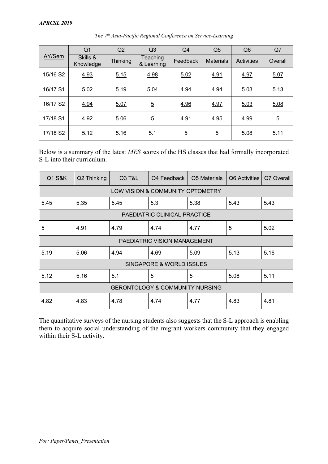|          | Q <sub>1</sub>        | Q2              | Q <sub>3</sub>         | Q4       | Q <sub>5</sub>   | Q <sub>6</sub>    | Q7             |
|----------|-----------------------|-----------------|------------------------|----------|------------------|-------------------|----------------|
| AY/Sem   | Skills &<br>Knowledge | <b>Thinking</b> | Teaching<br>& Learning | Feedback | <b>Materials</b> | <b>Activities</b> | Overall        |
| 15/16 S2 | 4.93                  | 5.15            | 4.98                   | 5.02     | 4.91             | 4.97              | 5.07           |
| 16/17 S1 | 5.02                  | 5.19            | 5.04                   | 4.94     | 4.94             | 5.03              | 5.13           |
| 16/17 S2 | 4.94                  | 5.07            | $\overline{5}$         | 4.96     | 4.97             | 5.03              | 5.08           |
| 17/18 S1 | 4.92                  | 5.06            | $\overline{5}$         | 4.91     | 4.95             | 4.99              | $\overline{5}$ |
| 17/18 S2 | 5.12                  | 5.16            | 5.1                    | 5        | 5                | 5.08              | 5.11           |

*The 7th Asia-Pacific Regional Conference on Service-Learning*

Below is a summary of the latest *MES* scores of the HS classes that had formally incorporated S-L into their curriculum.

| <b>Q1 S&amp;K</b>            | Q2 Thinking                  | Q3 T&L | Q4 Feedback                                | Q5 Materials | Q6 Activities | Q7 Overall |  |
|------------------------------|------------------------------|--------|--------------------------------------------|--------------|---------------|------------|--|
|                              |                              |        | LOW VISION & COMMUNITY OPTOMETRY           |              |               |            |  |
| 5.45                         | 5.35                         | 5.45   | 5.3                                        | 5.38         | 5.43          | 5.43       |  |
| PAEDIATRIC CLINICAL PRACTICE |                              |        |                                            |              |               |            |  |
| 5                            | 4.91                         | 4.79   | 4.74                                       | 4.77         | 5             | 5.02       |  |
|                              | PAEDIATRIC VISION MANAGEMENT |        |                                            |              |               |            |  |
| 5.19                         | 5.06                         | 4.94   | 4.69                                       | 5.09         | 5.13          | 5.16       |  |
| SINGAPORE & WORLD ISSUES     |                              |        |                                            |              |               |            |  |
| 5.12                         | 5.16                         | 5.1    | 5                                          | 5            | 5.08          | 5.11       |  |
|                              |                              |        | <b>GERONTOLOGY &amp; COMMUNITY NURSING</b> |              |               |            |  |
| 4.82                         | 4.83                         | 4.78   | 4.74                                       | 4.77         | 4.83          | 4.81       |  |

The quantitative surveys of the nursing students also suggests that the S-L approach is enabling them to acquire social understanding of the migrant workers community that they engaged within their S-L activity.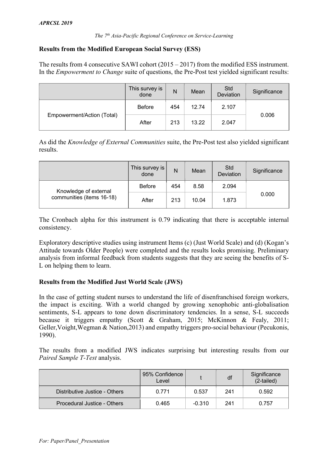# **Results from the Modified European Social Survey (ESS)**

The results from 4 consecutive SAWI cohort (2015 – 2017) from the modified ESS instrument. In the *Empowerment to Change* suite of questions, the Pre-Post test yielded significant results:

|                            | This survey is<br>done | N   | Mean  | Std<br>Deviation | Significance |
|----------------------------|------------------------|-----|-------|------------------|--------------|
|                            | <b>Before</b>          | 454 | 12.74 | 2.107            |              |
| Empowerment/Action (Total) | After                  | 213 | 13.22 | 2.047            | 0.006        |

As did the *Knowledge of External Communities* suite, the Pre-Post test also yielded significant results.

|                           | This survey is<br>done | N   | Mean  | Std<br>Deviation | Significance |
|---------------------------|------------------------|-----|-------|------------------|--------------|
| Knowledge of external     | <b>Before</b>          | 454 | 8.58  | 2.094            |              |
| communities (items 16-18) | After                  | 213 | 10.04 | 1.873            | 0.000        |

The Cronbach alpha for this instrument is 0.79 indicating that there is acceptable internal consistency.

Exploratory descriptive studies using instrument Items (c) (Just World Scale) and (d) (Kogan's Attitude towards Older People) were completed and the results looks promising. Preliminary analysis from informal feedback from students suggests that they are seeing the benefits of S-L on helping them to learn.

## **Results from the Modified Just World Scale (JWS)**

In the case of getting student nurses to understand the life of disenfranchised foreign workers, the impact is exciting. With a world changed by growing xenophobic anti-globalisation sentiments, S-L appears to tone down discriminatory tendencies. In a sense, S-L succeeds because it triggers empathy (Scott & Graham, 2015; McKinnon & Fealy, 2011; Geller,Voight,Wegman & Nation,2013) and empathy triggers pro-social behaviour (Pecukonis, 1990).

The results from a modified JWS indicates surprising but interesting results from our *Paired Sample T-Test* analysis.

|                               | 95% Confidence<br>Level |          | df  | Significance<br>(2-tailed) |
|-------------------------------|-------------------------|----------|-----|----------------------------|
| Distributive Justice - Others | 0.771                   | 0.537    | 241 | 0.592                      |
| Procedural Justice - Others   | 0.465                   | $-0.310$ | 241 | 0.757                      |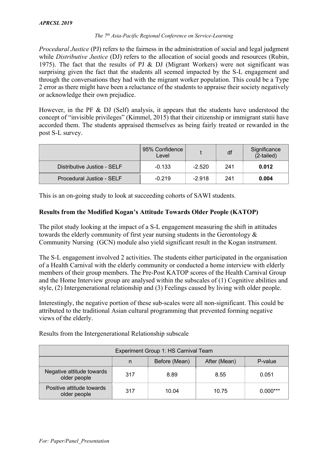*Procedural Justice* (PJ) refers to the fairness in the administration of social and legal judgment while *Distributive Justice* (DJ) refers to the allocation of social goods and resources (Rubin, 1975). The fact that the results of PJ & DJ (Migrant Workers) were not significant was surprising given the fact that the students all seemed impacted by the S-L engagement and through the conversations they had with the migrant worker population. This could be a Type 2 error as there might have been a reluctance of the students to appraise their society negatively or acknowledge their own prejudice.

However, in the PF & DJ (Self) analysis, it appears that the students have understood the concept of "invisible privileges" (Kimmel, 2015) that their citizenship or immigrant statii have accorded them. The students appraised themselves as being fairly treated or rewarded in the post S-L survey.

|                             | 95% Confidence<br>Level |          | df  | Significance<br>(2-tailed) |
|-----------------------------|-------------------------|----------|-----|----------------------------|
| Distributive Justice - SELF | $-0.133$                | $-2.520$ | 241 | 0.012                      |
| Procedural Justice - SELF   | $-0.219$                | $-2.918$ | 241 | 0.004                      |

This is an on-going study to look at succeeding cohorts of SAWI students.

# **Results from the Modified Kogan's Attitude Towards Older People (KATOP)**

The pilot study looking at the impact of a S-L engagement measuring the shift in attitudes towards the elderly community of first year nursing students in the Gerontology & Community Nursing (GCN) module also yield significant result in the Kogan instrument.

The S-L engagement involved 2 activities. The students either participated in the organisation of a Health Carnival with the elderly community or conducted a home interview with elderly members of their group members. The Pre-Post KATOP scores of the Health Carnival Group and the Home Interview group are analysed within the subscales of (1) Cognitive abilities and style, (2) Intergenerational relationship and (3) Feelings caused by living with older people.

Interestingly, the negative portion of these sub-scales were all non-significant. This could be attributed to the traditional Asian cultural programming that prevented forming negative views of the elderly.

Results from the Intergenerational Relationship subscale

| Experiment Group 1: HS Carnival Team      |     |               |              |            |
|-------------------------------------------|-----|---------------|--------------|------------|
|                                           | n   | Before (Mean) | After (Mean) | P-value    |
| Negative attitude towards<br>older people | 317 | 8.89          | 8.55         | 0.051      |
| Positive attitude towards<br>older people | 317 | 10.04         | 10.75        | $0.000***$ |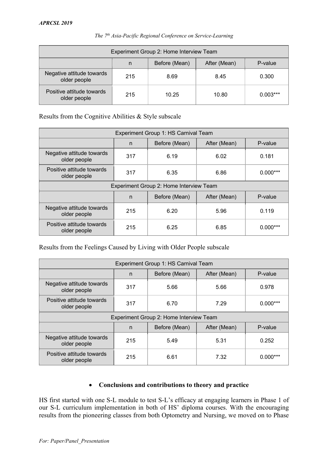|                                           |     | Experiment Group 2: Home Interview Team |              |            |
|-------------------------------------------|-----|-----------------------------------------|--------------|------------|
|                                           | n   | Before (Mean)                           | After (Mean) | P-value    |
| Negative attitude towards<br>older people | 215 | 8.69                                    | 8.45         | 0.300      |
| Positive attitude towards<br>older people | 215 | 10.25                                   | 10.80        | $0.003***$ |

Results from the Cognitive Abilities & Style subscale

|                                           |     | Experiment Group 1: HS Carnival Team |              |            |
|-------------------------------------------|-----|--------------------------------------|--------------|------------|
|                                           | n   | Before (Mean)                        | After (Mean) | P-value    |
| Negative attitude towards<br>older people | 317 | 6.19                                 | 6.02         | 0.181      |
| Positive attitude towards<br>older people | 317 | 6.35                                 | 6.86         | $0.000***$ |
| Experiment Group 2: Home Interview Team   |     |                                      |              |            |
|                                           | n   | Before (Mean)                        | After (Mean) | P-value    |
| Negative attitude towards<br>older people | 215 | 6.20                                 | 5.96         | 0.119      |
| Positive attitude towards<br>older people | 215 | 6.25                                 | 6.85         | $0.000***$ |

Results from the Feelings Caused by Living with Older People subscale

| Experiment Group 1: HS Carnival Team      |     |               |              |            |  |
|-------------------------------------------|-----|---------------|--------------|------------|--|
|                                           | n   | Before (Mean) | After (Mean) | P-value    |  |
| Negative attitude towards<br>older people | 317 | 5.66          | 5.66         | 0.978      |  |
| Positive attitude towards<br>older people | 317 | 6.70          | 7.29         | $0.000***$ |  |
| Experiment Group 2: Home Interview Team   |     |               |              |            |  |
|                                           | n   | Before (Mean) | After (Mean) | P-value    |  |
| Negative attitude towards<br>older people | 215 | 5.49          | 5.31         | 0.252      |  |
|                                           |     |               |              |            |  |

# • **Conclusions and contributions to theory and practice**

HS first started with one S-L module to test S-L's efficacy at engaging learners in Phase 1 of our S-L curriculum implementation in both of HS' diploma courses. With the encouraging results from the pioneering classes from both Optometry and Nursing, we moved on to Phase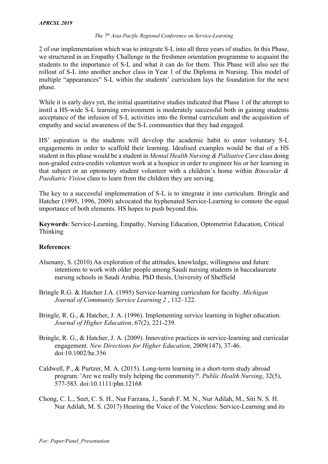2 of our implementation which was to integrate S-L into all three years of studies. In this Phase, we structured in an Empathy Challenge in the freshmen orientation programme to acquaint the students to the importance of S-L and what it can do for them. This Phase will also see the rollout of S-L into another anchor class in Year 1 of the Diploma in Nursing. This model of multiple "appearances" S-L within the students' curriculum lays the foundation for the next phase.

While it is early days yet, the initial quantitative studies indicated that Phase 1 of the attempt to instil a HS-wide S-L learning environment is moderately successful both in gaining students acceptance of the infusion of S-L activities into the formal curriculum and the acquisition of empathy and social awareness of the S-L communities that they had engaged.

HS' aspiration is the students will develop the academic habit to enter voluntary S-L engagements in order to scaffold their learning. Idealised examples would be that of a HS student in this phase would be a student in *Mental Health Nursing & Palliative Care* class doing non-graded extra-credits volunteer work at a hospice in order to engineer his or her learning in that subject or an optometry student volunteer with a children's home within *Binocular & Paediatric Vision* class to learn from the children they are serving.

The key to a successful implementation of S-L is to integrate it into curriculum. Bringle and Hatcher (1995, 1996, 2009) advocated the hyphenated Service-Learning to connote the equal importance of both elements. HS hopes to push beyond this.

**Keywords**: Service-Learning, Empathy, Nursing Education, Optometrist Education, Critical Thinking

# **References**:

- Alsenany, S. (2010) An exploration of the attitudes, knowledge, willingness and future intentions to work with older people among Saudi nursing students in baccalaureate nursing schools in Saudi Arabia. PhD thesis, University of Sheffield
- Bringle R.G. & Hatcher J.A. (1995) Service-learning curriculum for faculty. *Michigan Journal of Community Service Learning 2* , 112–122.
- Bringle, R. G., & Hatcher, J. A. (1996). Implementing service learning in higher education. *Journal of Higher Education*, 67(2), 221-239.
- Bringle, R. G., & Hatcher, J. A. (2009). Innovative practices in service-learning and curricular engagement. *New Directions for Higher Education*, 2009(147), 37-46. doi:10.1002/he.356
- Caldwell, P., & Purtzer, M. A. (2015). Long-term learning in a short-term study abroad program: 'Are we really truly helping the community?'. *Public Health Nursing*, 32(5), 577-583. doi:10.1111/phn.12168
- Chong, C. L., Seet, C. S. H., Nur Farzana, J., Sarah F. M. N., Nur Adilah, M., Siti N. S. H. Nur Adilah, M. S. (2017) Hearing the Voice of the Voiceless: Service-Learning and its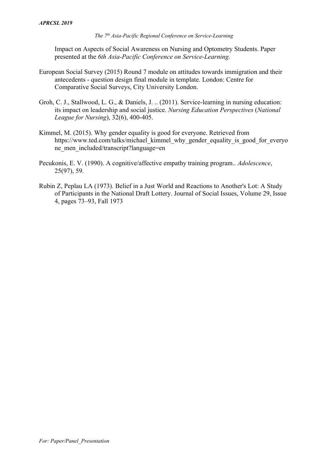Impact on Aspects of Social Awareness on Nursing and Optometry Students. Paper presented at the *6th Asia-Pacific Conference on Service-Learning.*

- European Social Survey (2015) Round 7 module on attitudes towards immigration and their antecedents - question design final module in template. London: Centre for Comparative Social Surveys, City University London.
- Groh, C. J., Stallwood, L. G., & Daniels, J. .. (2011). Service-learning in nursing education: its impact on leadership and social justice. *Nursing Education Perspectives* (*National League for Nursing*), 32(6), 400-405.
- Kimmel, M. (2015). Why gender equality is good for everyone. Retrieved from https://www.ted.com/talks/michael\_kimmel\_why\_gender\_equality\_is\_good\_for\_everyo ne\_men\_included/transcript?language=en
- Pecukonis, E. V. (1990). A cognitive/affective empathy training program.. *Adolescence*, 25(97), 59.
- Rubin Z, Peplau LA (1973). Belief in a Just World and Reactions to Another's Lot: A Study of Participants in the National Draft Lottery. Journal of Social Issues, Volume 29, Issue 4, pages 73–93, Fall 1973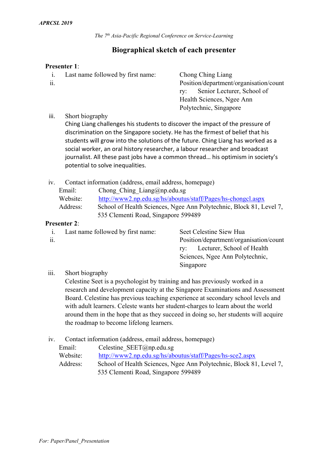# **Biographical sketch of each presenter**

### **Presenter 1**:

i. Last name followed by first name: Chong Ching Liang ii. Position/department/organisation/count

ry: Senior Lecturer, School of Health Sciences, Ngee Ann Polytechnic, Singapore

iii. Short biography

Ching Liang challenges his students to discover the impact of the pressure of discrimination on the Singapore society. He has the firmest of belief that his students will grow into the solutions of the future. Ching Liang has worked as a social worker, an oral history researcher, a labour researcher and broadcast journalist. All these past jobs have a common thread… his optimism in society's potential to solve inequalities.

| Contact information (address, email address, homepage) | 1V. |  |  |  |  |  |  |  |
|--------------------------------------------------------|-----|--|--|--|--|--|--|--|
|--------------------------------------------------------|-----|--|--|--|--|--|--|--|

| Email:   | Chong Ching Liang@np.edu.sg                                         |
|----------|---------------------------------------------------------------------|
| Website: | http://www2.np.edu.sg/hs/aboutus/staff/Pages/hs-chongcl.aspx        |
| Address: | School of Health Sciences, Ngee Ann Polytechnic, Block 81, Level 7, |
|          | 535 Clementi Road, Singapore 599489                                 |

## **Presenter 2**:

| 1.  | Last name followed by first name: | Seet Celestine Siew Hua                |
|-----|-----------------------------------|----------------------------------------|
| 11. |                                   | Position/department/organisation/count |
|     |                                   | ry: Lecturer, School of Health         |
|     |                                   | Sciences, Ngee Ann Polytechnic,        |
|     |                                   | Singapore                              |
|     |                                   |                                        |

iii. Short biography

Celestine Seet is a psychologist by training and has previously worked in a research and development capacity at the Singapore Examinations and Assessment Board. Celestine has previous teaching experience at secondary school levels and with adult learners. Celeste wants her student-charges to learn about the world around them in the hope that as they succeed in doing so, her students will acquire the roadmap to become lifelong learners.

# iv. Contact information (address, email address, homepage)

| Email:   | Celestine SEET@np.edu.sg                                            |
|----------|---------------------------------------------------------------------|
| Website: | http://www2.np.edu.sg/hs/aboutus/staff/Pages/hs-sce2.aspx           |
| Address: | School of Health Sciences, Ngee Ann Polytechnic, Block 81, Level 7, |
|          | 535 Clementi Road, Singapore 599489                                 |